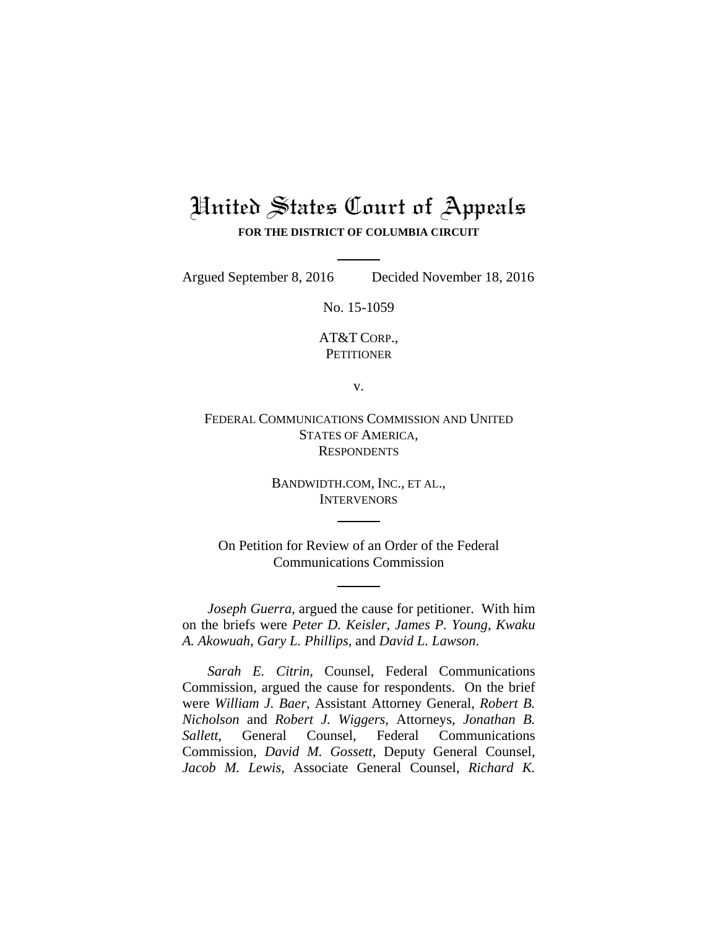## United States Court of Appeals **FOR THE DISTRICT OF COLUMBIA CIRCUIT**

Argued September 8, 2016 Decided November 18, 2016

No. 15-1059

AT&T CORP., **PETITIONER** 

v.

FEDERAL COMMUNICATIONS COMMISSION AND UNITED STATES OF AMERICA, **RESPONDENTS** 

> BANDWIDTH.COM, INC., ET AL., **INTERVENORS**

On Petition for Review of an Order of the Federal Communications Commission

*Joseph Guerra*, argued the cause for petitioner. With him on the briefs were *Peter D. Keisler*, *James P. Young*, *Kwaku A. Akowuah*, *Gary L. Phillips*, and *David L. Lawson*.

*Sarah E. Citrin*, Counsel, Federal Communications Commission, argued the cause for respondents. On the brief were *William J. Baer*, Assistant Attorney General, *Robert B. Nicholson* and *Robert J. Wiggers*, Attorneys, *Jonathan B. Sallett*, General Counsel, Federal Communications Commission, *David M. Gossett*, Deputy General Counsel, *Jacob M. Lewis*, Associate General Counsel, *Richard K.*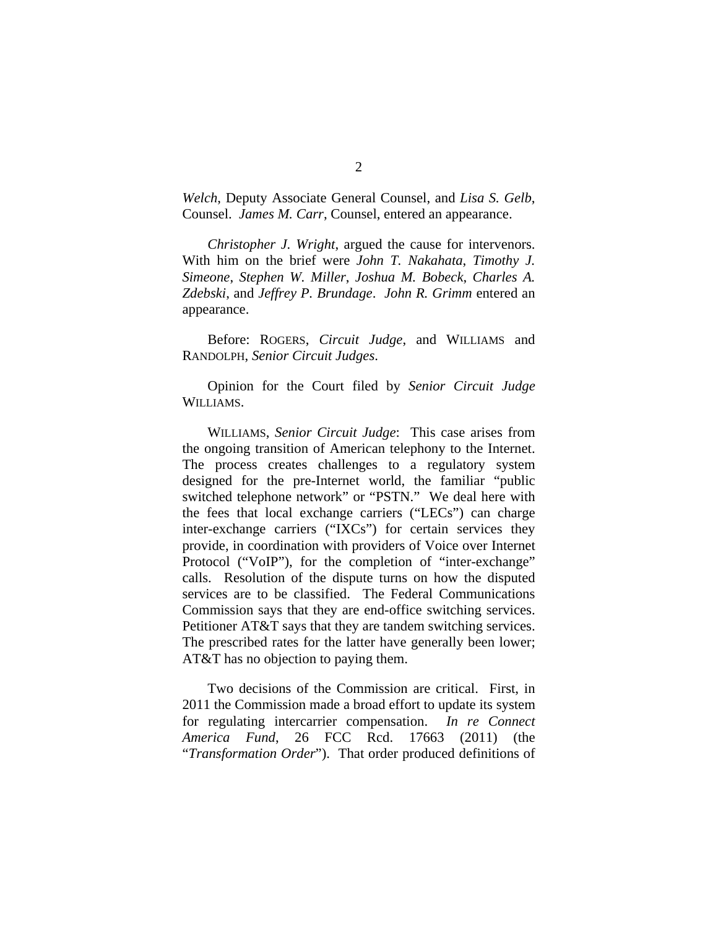*Welch*, Deputy Associate General Counsel, and *Lisa S. Gelb*, Counsel. *James M. Carr*, Counsel, entered an appearance.

*Christopher J. Wright*, argued the cause for intervenors. With him on the brief were *John T. Nakahata*, *Timothy J. Simeone*, *Stephen W. Miller*, *Joshua M. Bobeck*, *Charles A. Zdebski*, and *Jeffrey P. Brundage*. *John R. Grimm* entered an appearance.

Before: ROGERS, *Circuit Judge*, and WILLIAMS and RANDOLPH, *Senior Circuit Judges*.

Opinion for the Court filed by *Senior Circuit Judge* WILLIAMS.

WILLIAMS, *Senior Circuit Judge*: This case arises from the ongoing transition of American telephony to the Internet. The process creates challenges to a regulatory system designed for the pre-Internet world, the familiar "public switched telephone network" or "PSTN." We deal here with the fees that local exchange carriers ("LECs") can charge inter-exchange carriers ("IXCs") for certain services they provide, in coordination with providers of Voice over Internet Protocol ("VoIP"), for the completion of "inter-exchange" calls. Resolution of the dispute turns on how the disputed services are to be classified. The Federal Communications Commission says that they are end-office switching services. Petitioner AT&T says that they are tandem switching services. The prescribed rates for the latter have generally been lower; AT&T has no objection to paying them.

Two decisions of the Commission are critical. First, in 2011 the Commission made a broad effort to update its system for regulating intercarrier compensation. *In re Connect America Fund*, 26 FCC Rcd. 17663 (2011) (the "*Transformation Order*"). That order produced definitions of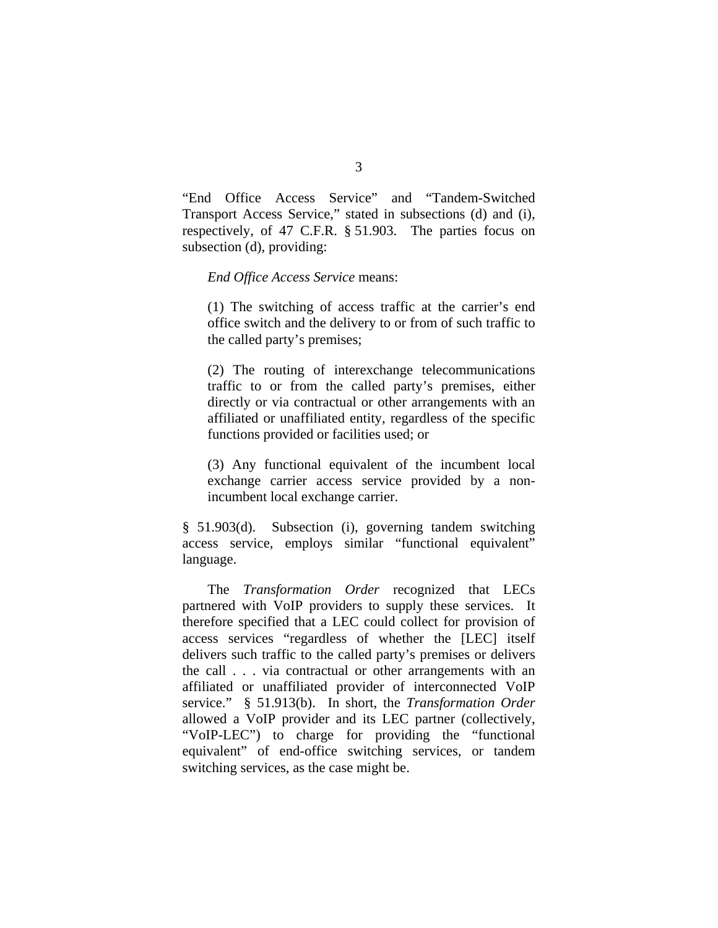"End Office Access Service" and "Tandem-Switched Transport Access Service," stated in subsections (d) and (i), respectively, of 47 C.F.R. § 51.903. The parties focus on subsection (d), providing:

## *End Office Access Service* means:

(1) The switching of access traffic at the carrier's end office switch and the delivery to or from of such traffic to the called party's premises;

(2) The routing of interexchange telecommunications traffic to or from the called party's premises, either directly or via contractual or other arrangements with an affiliated or unaffiliated entity, regardless of the specific functions provided or facilities used; or

(3) Any functional equivalent of the incumbent local exchange carrier access service provided by a nonincumbent local exchange carrier.

§ 51.903(d). Subsection (i), governing tandem switching access service, employs similar "functional equivalent" language.

 The *Transformation Order* recognized that LECs partnered with VoIP providers to supply these services. It therefore specified that a LEC could collect for provision of access services "regardless of whether the [LEC] itself delivers such traffic to the called party's premises or delivers the call . . . via contractual or other arrangements with an affiliated or unaffiliated provider of interconnected VoIP service." § 51.913(b). In short, the *Transformation Order* allowed a VoIP provider and its LEC partner (collectively, "VoIP-LEC") to charge for providing the "functional equivalent" of end-office switching services, or tandem switching services, as the case might be.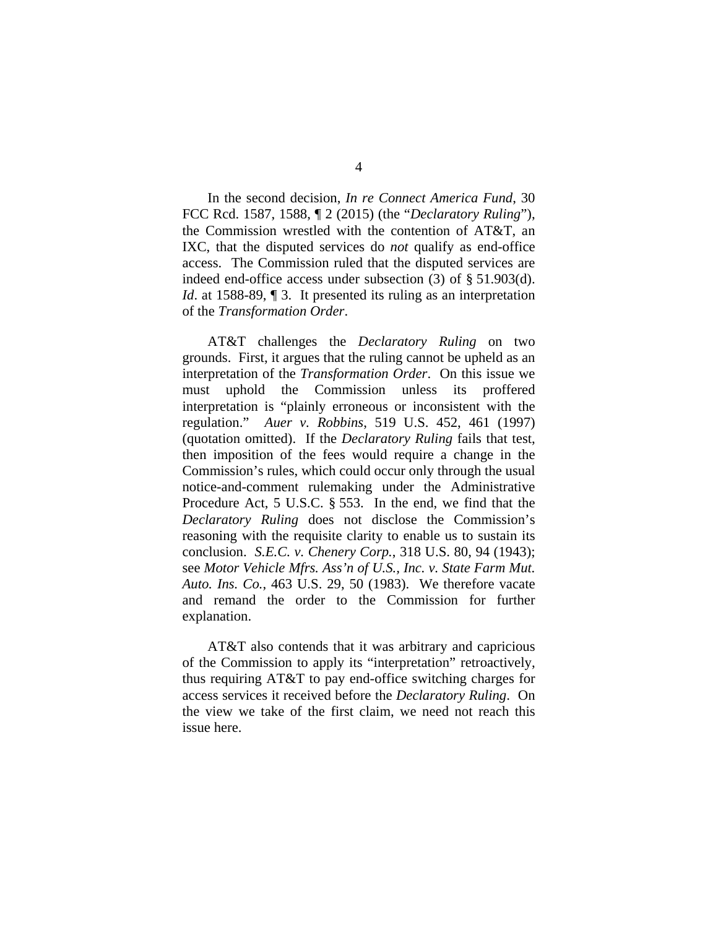In the second decision, *In re Connect America Fund*, 30 FCC Rcd. 1587, 1588, ¶ 2 (2015) (the "*Declaratory Ruling*"), the Commission wrestled with the contention of AT&T, an IXC, that the disputed services do *not* qualify as end-office access. The Commission ruled that the disputed services are indeed end-office access under subsection (3) of § 51.903(d). *Id.* at 1588-89, 1 3. It presented its ruling as an interpretation of the *Transformation Order*.

AT&T challenges the *Declaratory Ruling* on two grounds. First, it argues that the ruling cannot be upheld as an interpretation of the *Transformation Order*. On this issue we must uphold the Commission unless its proffered interpretation is "plainly erroneous or inconsistent with the regulation." *Auer v. Robbins*, 519 U.S. 452, 461 (1997) (quotation omitted). If the *Declaratory Ruling* fails that test, then imposition of the fees would require a change in the Commission's rules, which could occur only through the usual notice-and-comment rulemaking under the Administrative Procedure Act, 5 U.S.C. § 553. In the end, we find that the *Declaratory Ruling* does not disclose the Commission's reasoning with the requisite clarity to enable us to sustain its conclusion. *S.E.C. v. Chenery Corp.*, 318 U.S. 80, 94 (1943); see *Motor Vehicle Mfrs. Ass'n of U.S., Inc. v. State Farm Mut. Auto. Ins. Co.*, 463 U.S. 29, 50 (1983). We therefore vacate and remand the order to the Commission for further explanation.

AT&T also contends that it was arbitrary and capricious of the Commission to apply its "interpretation" retroactively, thus requiring AT&T to pay end-office switching charges for access services it received before the *Declaratory Ruling*. On the view we take of the first claim, we need not reach this issue here.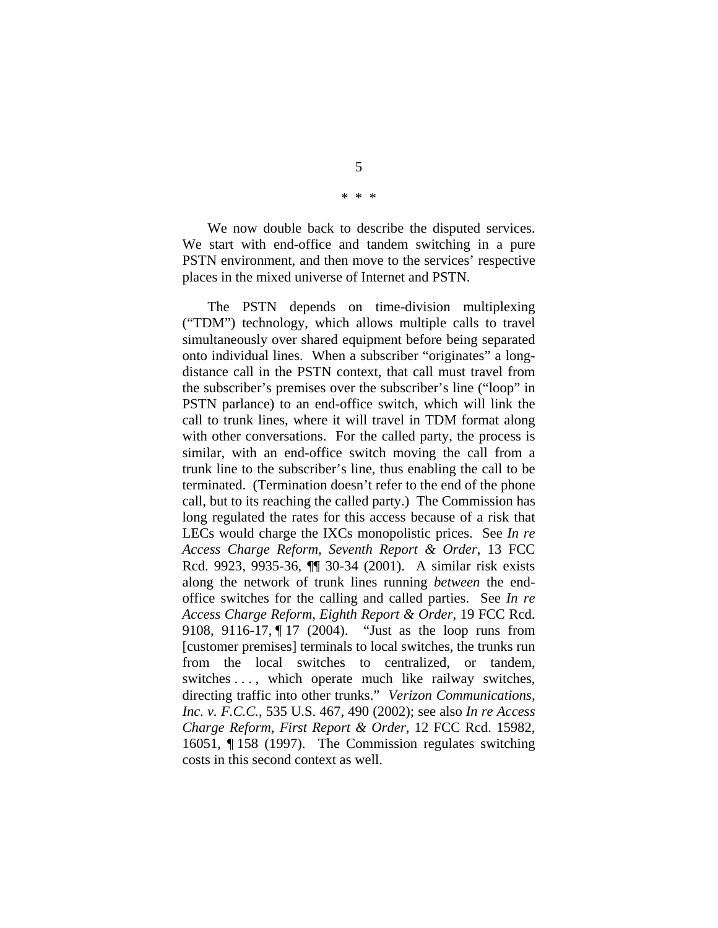We now double back to describe the disputed services. We start with end-office and tandem switching in a pure PSTN environment, and then move to the services' respective places in the mixed universe of Internet and PSTN.

The PSTN depends on time-division multiplexing ("TDM") technology, which allows multiple calls to travel simultaneously over shared equipment before being separated onto individual lines. When a subscriber "originates" a longdistance call in the PSTN context, that call must travel from the subscriber's premises over the subscriber's line ("loop" in PSTN parlance) to an end-office switch, which will link the call to trunk lines, where it will travel in TDM format along with other conversations. For the called party, the process is similar, with an end-office switch moving the call from a trunk line to the subscriber's line, thus enabling the call to be terminated. (Termination doesn't refer to the end of the phone call, but to its reaching the called party.) The Commission has long regulated the rates for this access because of a risk that LECs would charge the IXCs monopolistic prices. See *In re Access Charge Reform, Seventh Report & Order*, 13 FCC Rcd. 9923, 9935-36, ¶¶ 30-34 (2001). A similar risk exists along the network of trunk lines running *between* the endoffice switches for the calling and called parties. See *In re Access Charge Reform, Eighth Report & Order*, 19 FCC Rcd. 9108, 9116-17, ¶ 17 (2004). "Just as the loop runs from [customer premises] terminals to local switches, the trunks run from the local switches to centralized, or tandem, switches ..., which operate much like railway switches, directing traffic into other trunks." *Verizon Communications, Inc. v. F.C.C.*, 535 U.S. 467, 490 (2002); see also *In re Access Charge Reform, First Report & Order*, 12 FCC Rcd. 15982, 16051, ¶ 158 (1997). The Commission regulates switching costs in this second context as well.

\* \* \*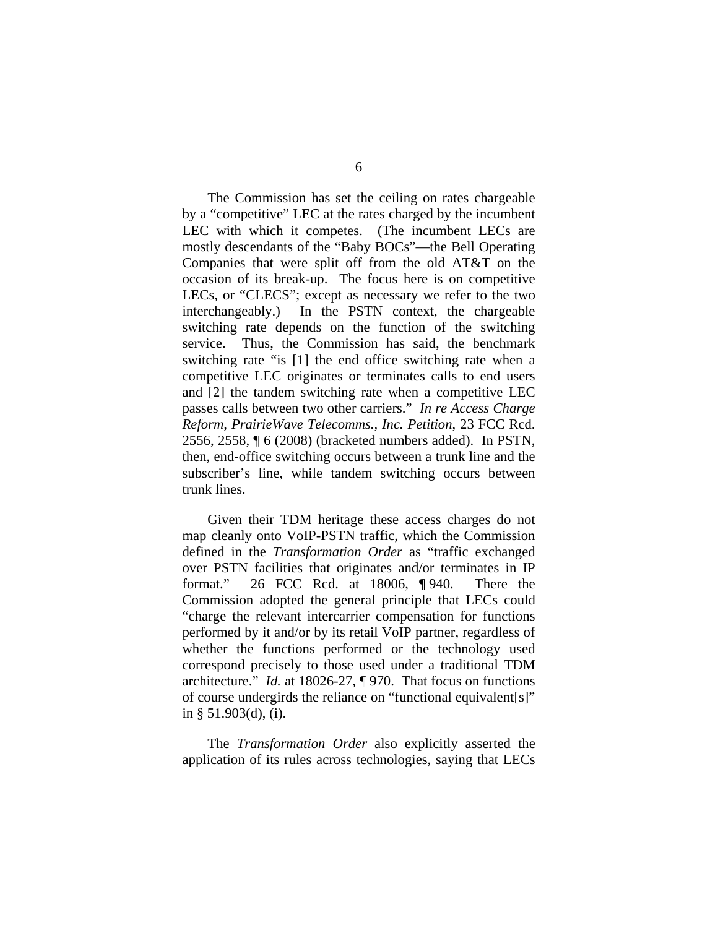The Commission has set the ceiling on rates chargeable by a "competitive" LEC at the rates charged by the incumbent LEC with which it competes. (The incumbent LECs are mostly descendants of the "Baby BOCs"—the Bell Operating Companies that were split off from the old AT&T on the occasion of its break-up. The focus here is on competitive LECs, or "CLECS"; except as necessary we refer to the two interchangeably.) In the PSTN context, the chargeable switching rate depends on the function of the switching service. Thus, the Commission has said, the benchmark switching rate "is [1] the end office switching rate when a competitive LEC originates or terminates calls to end users and [2] the tandem switching rate when a competitive LEC passes calls between two other carriers." *In re Access Charge Reform, PrairieWave Telecomms., Inc. Petition*, 23 FCC Rcd. 2556, 2558, ¶ 6 (2008) (bracketed numbers added). In PSTN, then, end-office switching occurs between a trunk line and the subscriber's line, while tandem switching occurs between trunk lines.

Given their TDM heritage these access charges do not map cleanly onto VoIP-PSTN traffic, which the Commission defined in the *Transformation Order* as "traffic exchanged over PSTN facilities that originates and/or terminates in IP format." 26 FCC Rcd. at 18006, ¶ 940. There the Commission adopted the general principle that LECs could "charge the relevant intercarrier compensation for functions performed by it and/or by its retail VoIP partner, regardless of whether the functions performed or the technology used correspond precisely to those used under a traditional TDM architecture." *Id.* at 18026-27, ¶ 970. That focus on functions of course undergirds the reliance on "functional equivalent[s]" in § 51.903(d), (i).

The *Transformation Order* also explicitly asserted the application of its rules across technologies, saying that LECs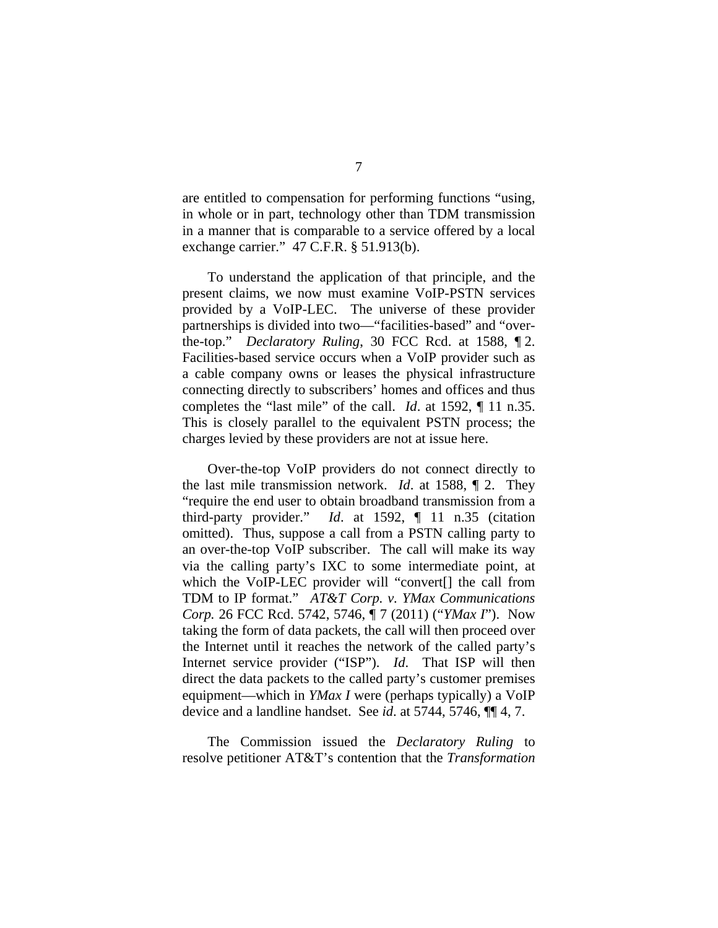are entitled to compensation for performing functions "using, in whole or in part, technology other than TDM transmission in a manner that is comparable to a service offered by a local exchange carrier." 47 C.F.R. § 51.913(b).

To understand the application of that principle, and the present claims, we now must examine VoIP-PSTN services provided by a VoIP-LEC. The universe of these provider partnerships is divided into two—"facilities-based" and "overthe-top." *Declaratory Ruling*, 30 FCC Rcd. at 1588, ¶ 2. Facilities-based service occurs when a VoIP provider such as a cable company owns or leases the physical infrastructure connecting directly to subscribers' homes and offices and thus completes the "last mile" of the call. *Id*. at 1592, ¶ 11 n.35. This is closely parallel to the equivalent PSTN process; the charges levied by these providers are not at issue here.

Over-the-top VoIP providers do not connect directly to the last mile transmission network. *Id*. at 1588, ¶ 2. They "require the end user to obtain broadband transmission from a third-party provider." *Id*. at 1592, ¶ 11 n.35 (citation omitted). Thus, suppose a call from a PSTN calling party to an over-the-top VoIP subscriber. The call will make its way via the calling party's IXC to some intermediate point, at which the VoIP-LEC provider will "convert[] the call from TDM to IP format." *AT&T Corp. v. YMax Communications Corp.* 26 FCC Rcd. 5742, 5746, ¶ 7 (2011) ("*YMax I*"). Now taking the form of data packets, the call will then proceed over the Internet until it reaches the network of the called party's Internet service provider ("ISP"). *Id*. That ISP will then direct the data packets to the called party's customer premises equipment—which in *YMax I* were (perhaps typically) a VoIP device and a landline handset. See *id*. at 5744, 5746, ¶¶ 4, 7.

The Commission issued the *Declaratory Ruling* to resolve petitioner AT&T's contention that the *Transformation*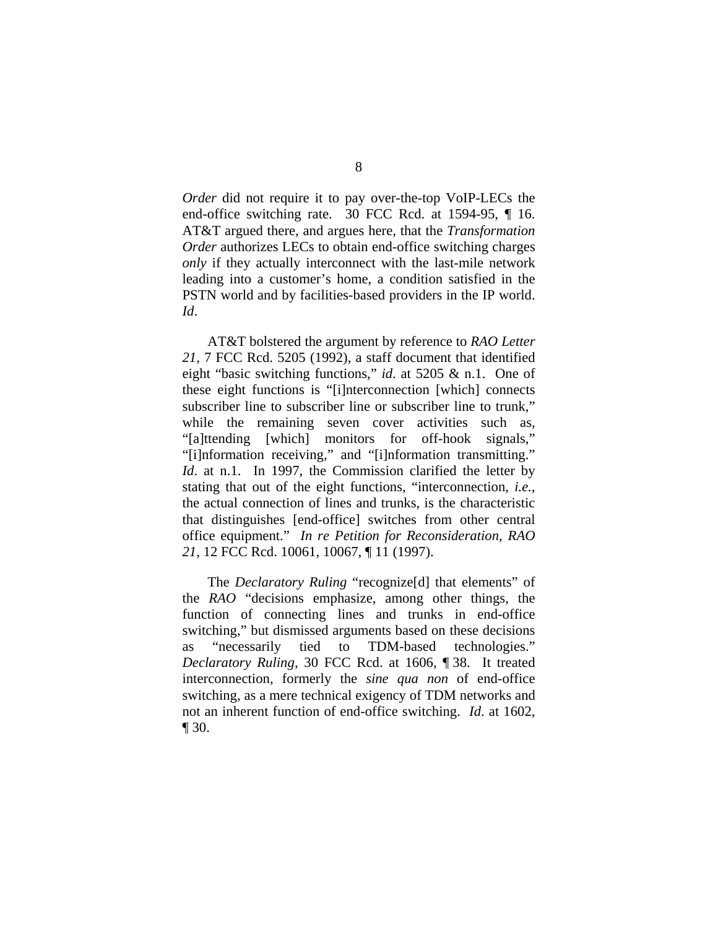*Order* did not require it to pay over-the-top VoIP-LECs the end-office switching rate. 30 FCC Rcd. at 1594-95, ¶ 16. AT&T argued there, and argues here, that the *Transformation Order* authorizes LECs to obtain end-office switching charges *only* if they actually interconnect with the last-mile network leading into a customer's home, a condition satisfied in the PSTN world and by facilities-based providers in the IP world. *Id*.

AT&T bolstered the argument by reference to *RAO Letter 21*, 7 FCC Rcd. 5205 (1992), a staff document that identified eight "basic switching functions," *id*. at 5205 & n.1. One of these eight functions is "[i]nterconnection [which] connects subscriber line to subscriber line or subscriber line to trunk," while the remaining seven cover activities such as, "[a]ttending [which] monitors for off-hook signals," "[i]nformation receiving," and "[i]nformation transmitting." *Id.* at n.1. In 1997, the Commission clarified the letter by stating that out of the eight functions, "interconnection, *i.e.*, the actual connection of lines and trunks, is the characteristic that distinguishes [end-office] switches from other central office equipment." *In re Petition for Reconsideration, RAO 21*, 12 FCC Rcd. 10061, 10067, ¶ 11 (1997).

The *Declaratory Ruling* "recognize[d] that elements" of the *RAO* "decisions emphasize, among other things, the function of connecting lines and trunks in end-office switching," but dismissed arguments based on these decisions as "necessarily tied to TDM-based technologies." *Declaratory Ruling*, 30 FCC Rcd. at 1606, ¶ 38. It treated interconnection, formerly the *sine qua non* of end-office switching, as a mere technical exigency of TDM networks and not an inherent function of end-office switching. *Id*. at 1602, ¶ 30.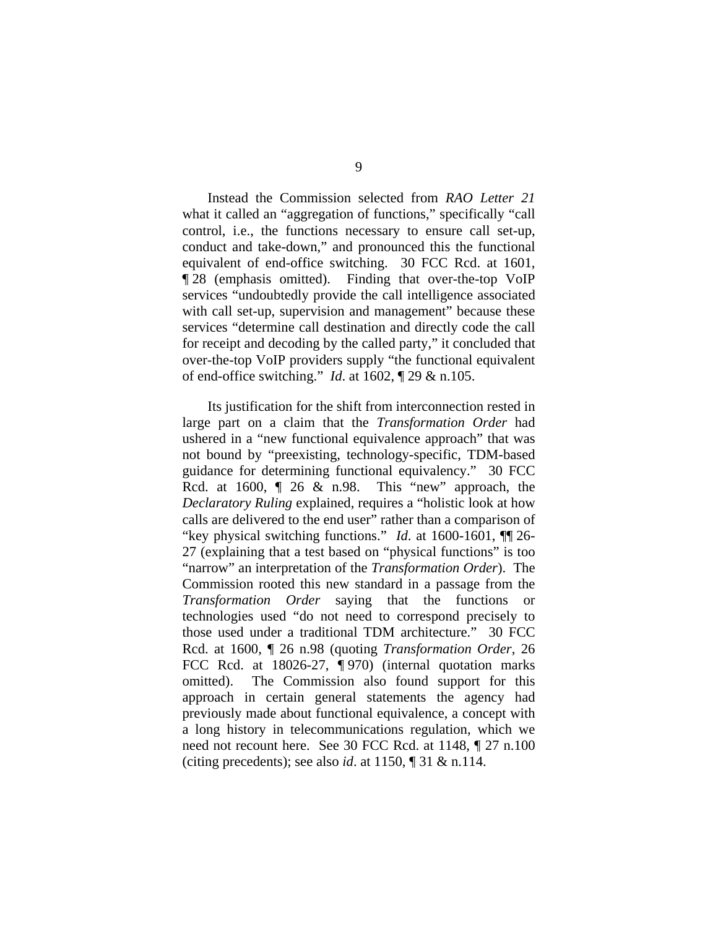Instead the Commission selected from *RAO Letter 21* what it called an "aggregation of functions," specifically "call control, i.e., the functions necessary to ensure call set-up, conduct and take-down," and pronounced this the functional equivalent of end-office switching.30 FCC Rcd. at 1601, ¶ 28 (emphasis omitted). Finding that over-the-top VoIP services "undoubtedly provide the call intelligence associated with call set-up, supervision and management" because these services "determine call destination and directly code the call for receipt and decoding by the called party," it concluded that over-the-top VoIP providers supply "the functional equivalent of end-office switching." *Id*. at 1602, ¶ 29 & n.105.

Its justification for the shift from interconnection rested in large part on a claim that the *Transformation Order* had ushered in a "new functional equivalence approach" that was not bound by "preexisting, technology-specific, TDM-based guidance for determining functional equivalency." 30 FCC Rcd. at 1600, ¶ 26 & n.98. This "new" approach, the *Declaratory Ruling* explained, requires a "holistic look at how calls are delivered to the end user" rather than a comparison of "key physical switching functions." *Id*. at 1600-1601, ¶¶ 26- 27 (explaining that a test based on "physical functions" is too "narrow" an interpretation of the *Transformation Order*). The Commission rooted this new standard in a passage from the *Transformation Order* saying that the functions or technologies used "do not need to correspond precisely to those used under a traditional TDM architecture." 30 FCC Rcd. at 1600, ¶ 26 n.98 (quoting *Transformation Order*, 26 FCC Rcd. at 18026-27, ¶ 970) (internal quotation marks omitted). The Commission also found support for this approach in certain general statements the agency had previously made about functional equivalence, a concept with a long history in telecommunications regulation, which we need not recount here. See 30 FCC Rcd. at 1148, ¶ 27 n.100 (citing precedents); see also *id*. at 1150, ¶ 31 & n.114.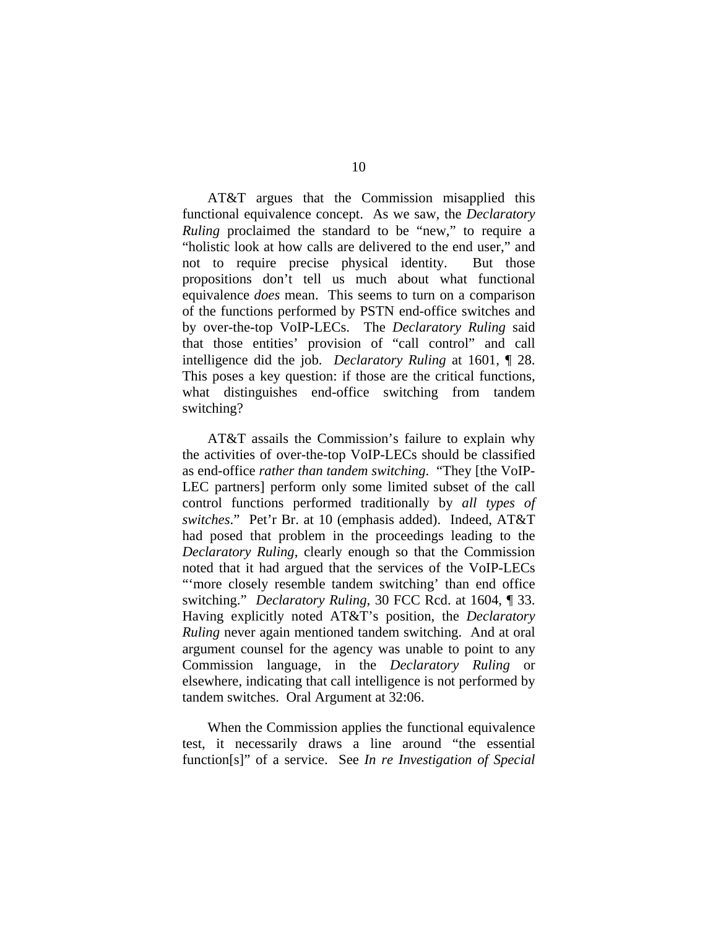AT&T argues that the Commission misapplied this functional equivalence concept. As we saw, the *Declaratory Ruling* proclaimed the standard to be "new," to require a "holistic look at how calls are delivered to the end user," and not to require precise physical identity. But those propositions don't tell us much about what functional equivalence *does* mean. This seems to turn on a comparison of the functions performed by PSTN end-office switches and by over-the-top VoIP-LECs. The *Declaratory Ruling* said that those entities' provision of "call control" and call intelligence did the job. *Declaratory Ruling* at 1601, ¶ 28. This poses a key question: if those are the critical functions, what distinguishes end-office switching from tandem switching?

AT&T assails the Commission's failure to explain why the activities of over-the-top VoIP-LECs should be classified as end-office *rather than tandem switching*. "They [the VoIP-LEC partners] perform only some limited subset of the call control functions performed traditionally by *all types of switches*." Pet'r Br. at 10 (emphasis added). Indeed, AT&T had posed that problem in the proceedings leading to the *Declaratory Ruling*, clearly enough so that the Commission noted that it had argued that the services of the VoIP-LECs "'more closely resemble tandem switching' than end office switching." *Declaratory Ruling*, 30 FCC Rcd. at 1604, ¶ 33. Having explicitly noted AT&T's position, the *Declaratory Ruling* never again mentioned tandem switching. And at oral argument counsel for the agency was unable to point to any Commission language, in the *Declaratory Ruling* or elsewhere, indicating that call intelligence is not performed by tandem switches. Oral Argument at 32:06.

When the Commission applies the functional equivalence test, it necessarily draws a line around "the essential function[s]" of a service. See *In re Investigation of Special*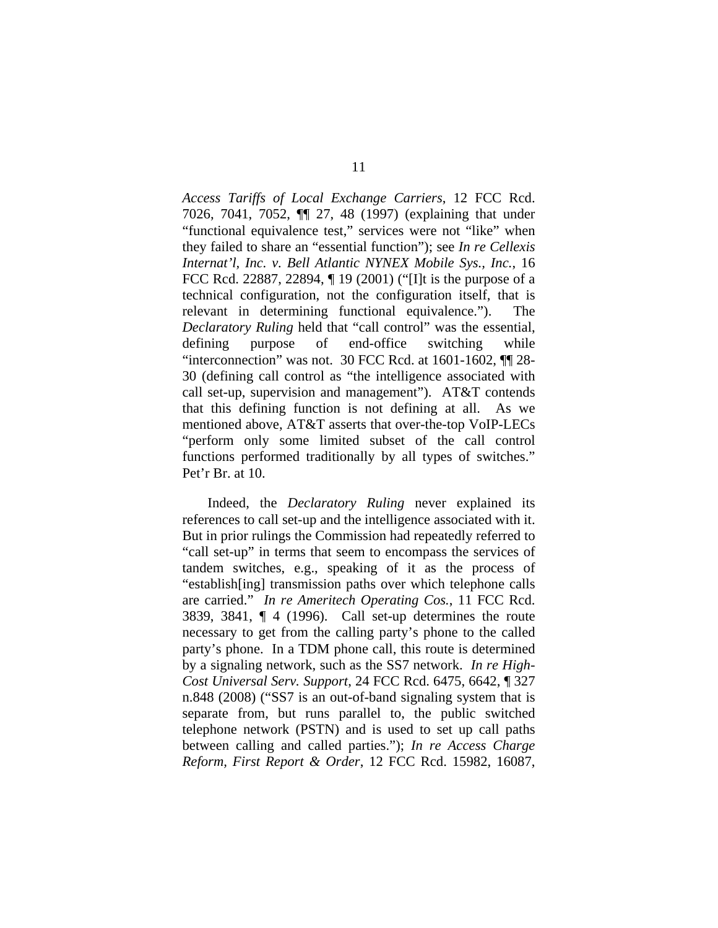*Access Tariffs of Local Exchange Carriers*, 12 FCC Rcd. 7026, 7041, 7052, ¶¶ 27, 48 (1997) (explaining that under "functional equivalence test," services were not "like" when they failed to share an "essential function"); see *In re Cellexis Internat'l, Inc. v. Bell Atlantic NYNEX Mobile Sys., Inc.*, 16 FCC Rcd. 22887, 22894, ¶ 19 (2001) ("[I]t is the purpose of a technical configuration, not the configuration itself, that is relevant in determining functional equivalence."). The *Declaratory Ruling* held that "call control" was the essential, defining purpose of end-office switching while "interconnection" was not. 30 FCC Rcd. at 1601-1602, ¶¶ 28- 30 (defining call control as "the intelligence associated with call set-up, supervision and management"). AT&T contends that this defining function is not defining at all. As we mentioned above, AT&T asserts that over-the-top VoIP-LECs "perform only some limited subset of the call control functions performed traditionally by all types of switches." Pet'r Br. at 10.

Indeed, the *Declaratory Ruling* never explained its references to call set-up and the intelligence associated with it. But in prior rulings the Commission had repeatedly referred to "call set-up" in terms that seem to encompass the services of tandem switches, e.g., speaking of it as the process of "establish[ing] transmission paths over which telephone calls are carried." *In re Ameritech Operating Cos.*, 11 FCC Rcd. 3839, 3841, ¶ 4 (1996). Call set-up determines the route necessary to get from the calling party's phone to the called party's phone. In a TDM phone call, this route is determined by a signaling network, such as the SS7 network. *In re High-Cost Universal Serv. Support*, 24 FCC Rcd. 6475, 6642, ¶ 327 n.848 (2008) ("SS7 is an out-of-band signaling system that is separate from, but runs parallel to, the public switched telephone network (PSTN) and is used to set up call paths between calling and called parties."); *In re Access Charge Reform, First Report & Order*, 12 FCC Rcd. 15982, 16087,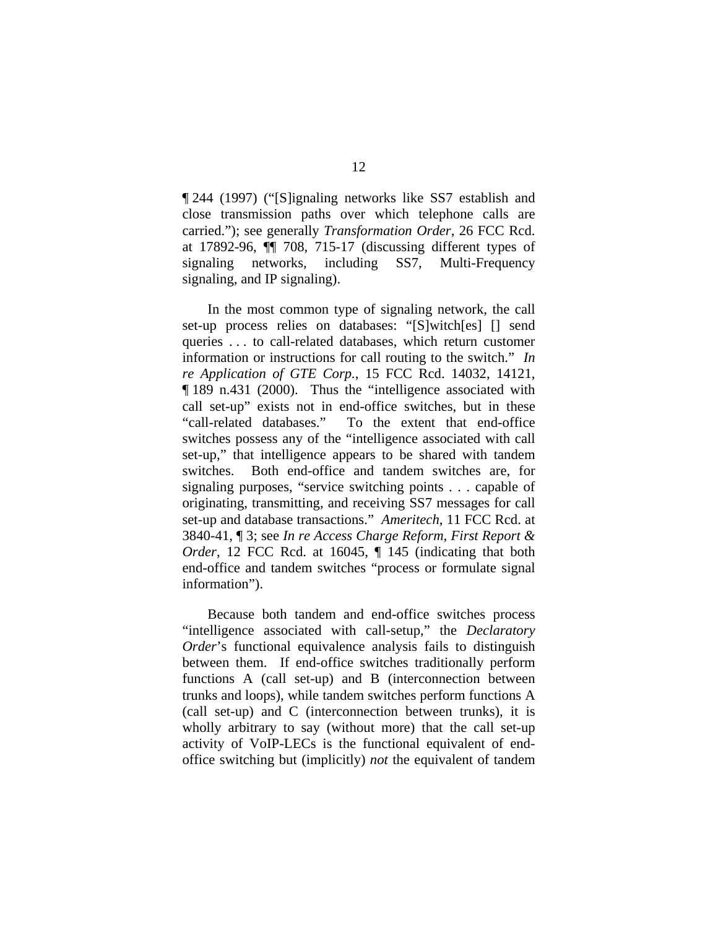¶ 244 (1997) ("[S]ignaling networks like SS7 establish and close transmission paths over which telephone calls are carried."); see generally *Transformation Order*, 26 FCC Rcd. at 17892-96, ¶¶ 708, 715-17 (discussing different types of signaling networks, including SS7, Multi-Frequency signaling, and IP signaling).

In the most common type of signaling network, the call set-up process relies on databases: "[S]witch[es] [] send queries . . . to call-related databases, which return customer information or instructions for call routing to the switch." *In re Application of GTE Corp.*, 15 FCC Rcd. 14032, 14121, ¶ 189 n.431 (2000). Thus the "intelligence associated with call set-up" exists not in end-office switches, but in these "call-related databases." To the extent that end-office switches possess any of the "intelligence associated with call set-up," that intelligence appears to be shared with tandem switches. Both end-office and tandem switches are, for signaling purposes, "service switching points . . . capable of originating, transmitting, and receiving SS7 messages for call set-up and database transactions." *Ameritech*, 11 FCC Rcd. at 3840-41, ¶ 3; see *In re Access Charge Reform, First Report & Order*, 12 FCC Rcd. at 16045, ¶ 145 (indicating that both end-office and tandem switches "process or formulate signal information").

Because both tandem and end-office switches process "intelligence associated with call-setup," the *Declaratory Order*'s functional equivalence analysis fails to distinguish between them. If end-office switches traditionally perform functions A (call set-up) and B (interconnection between trunks and loops), while tandem switches perform functions A (call set-up) and C (interconnection between trunks), it is wholly arbitrary to say (without more) that the call set-up activity of VoIP-LECs is the functional equivalent of endoffice switching but (implicitly) *not* the equivalent of tandem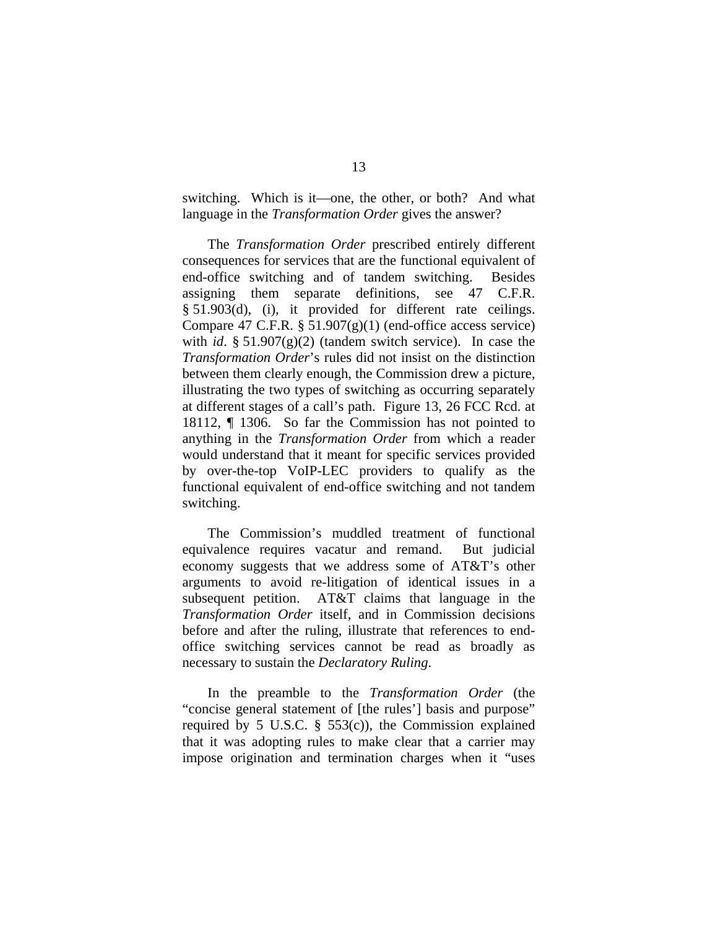switching. Which is it—one, the other, or both? And what language in the *Transformation Order* gives the answer?

The *Transformation Order* prescribed entirely different consequences for services that are the functional equivalent of end-office switching and of tandem switching. Besides assigning them separate definitions, see 47 C.F.R. § 51.903(d), (i), it provided for different rate ceilings. Compare 47 C.F.R.  $\S 51.907(g)(1)$  (end-office access service) with *id*. § 51.907(g)(2) (tandem switch service). In case the *Transformation Order*'s rules did not insist on the distinction between them clearly enough, the Commission drew a picture, illustrating the two types of switching as occurring separately at different stages of a call's path. Figure 13, 26 FCC Rcd. at 18112, ¶ 1306. So far the Commission has not pointed to anything in the *Transformation Order* from which a reader would understand that it meant for specific services provided by over-the-top VoIP-LEC providers to qualify as the functional equivalent of end-office switching and not tandem switching.

The Commission's muddled treatment of functional equivalence requires vacatur and remand. But judicial economy suggests that we address some of AT&T's other arguments to avoid re-litigation of identical issues in a subsequent petition. AT&T claims that language in the *Transformation Order* itself, and in Commission decisions before and after the ruling, illustrate that references to endoffice switching services cannot be read as broadly as necessary to sustain the *Declaratory Ruling*.

In the preamble to the *Transformation Order* (the "concise general statement of [the rules'] basis and purpose" required by 5 U.S.C.  $\S$  553(c)), the Commission explained that it was adopting rules to make clear that a carrier may impose origination and termination charges when it "uses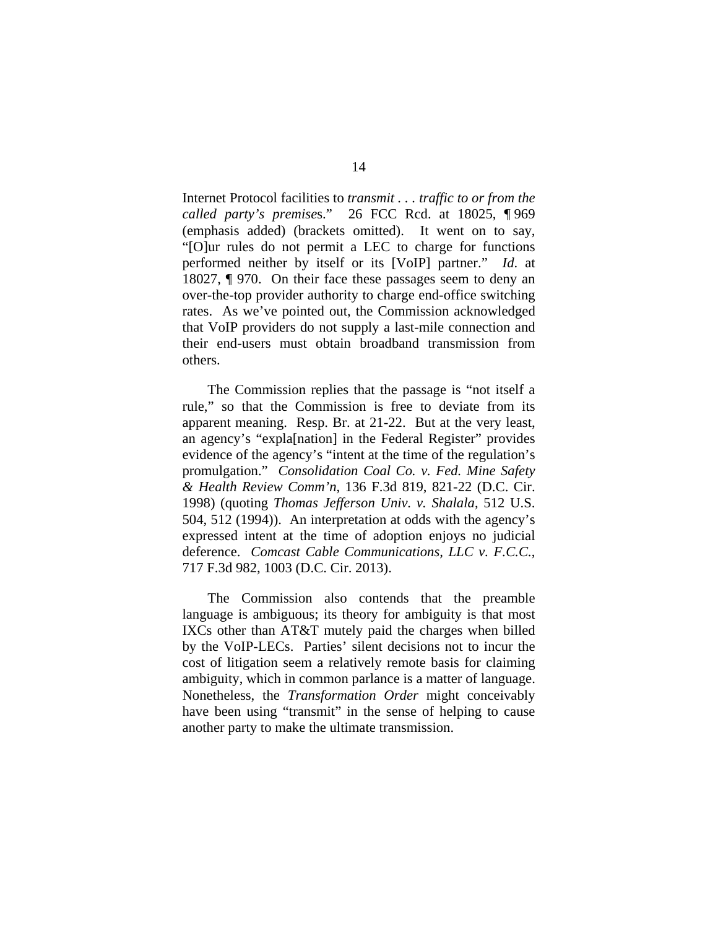Internet Protocol facilities to *transmit . . . traffic to or from the called party's premise*s." 26 FCC Rcd. at 18025, ¶ 969 (emphasis added) (brackets omitted). It went on to say, "[O]ur rules do not permit a LEC to charge for functions performed neither by itself or its [VoIP] partner."*Id*. at 18027, ¶ 970. On their face these passages seem to deny an over-the-top provider authority to charge end-office switching rates. As we've pointed out, the Commission acknowledged that VoIP providers do not supply a last-mile connection and their end-users must obtain broadband transmission from others.

The Commission replies that the passage is "not itself a rule," so that the Commission is free to deviate from its apparent meaning. Resp. Br. at 21-22. But at the very least, an agency's "expla[nation] in the Federal Register" provides evidence of the agency's "intent at the time of the regulation's promulgation." *Consolidation Coal Co. v. Fed. Mine Safety & Health Review Comm'n*, 136 F.3d 819, 821-22 (D.C. Cir. 1998) (quoting *Thomas Jefferson Univ. v. Shalala*, 512 U.S. 504, 512 (1994)). An interpretation at odds with the agency's expressed intent at the time of adoption enjoys no judicial deference. *Comcast Cable Communications, LLC v. F.C.C.*, 717 F.3d 982, 1003 (D.C. Cir. 2013).

The Commission also contends that the preamble language is ambiguous; its theory for ambiguity is that most IXCs other than AT&T mutely paid the charges when billed by the VoIP-LECs. Parties' silent decisions not to incur the cost of litigation seem a relatively remote basis for claiming ambiguity, which in common parlance is a matter of language. Nonetheless, the *Transformation Order* might conceivably have been using "transmit" in the sense of helping to cause another party to make the ultimate transmission.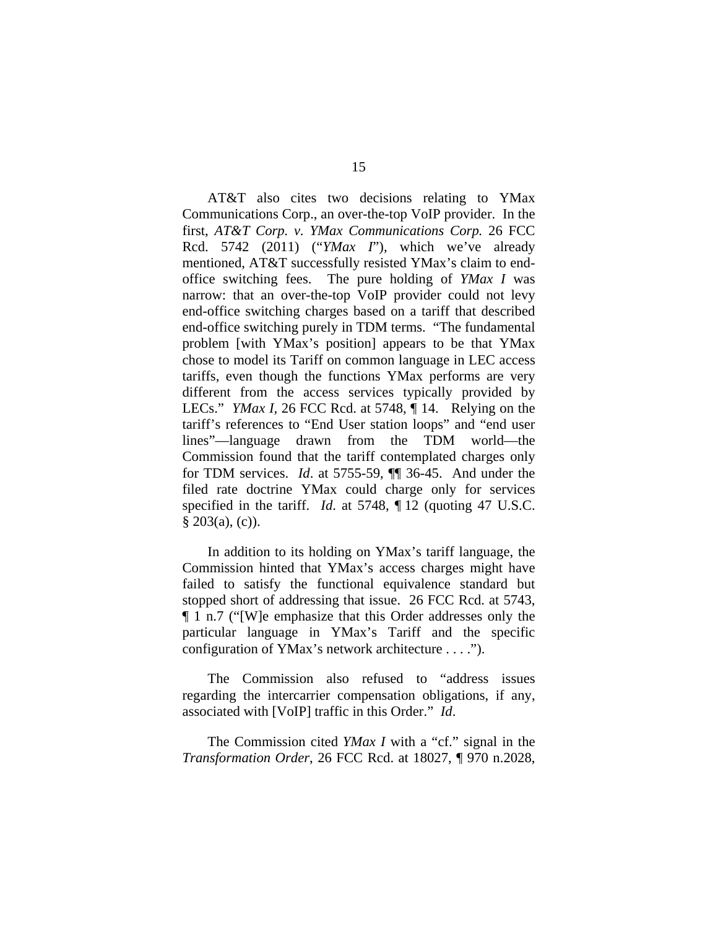AT&T also cites two decisions relating to YMax Communications Corp., an over-the-top VoIP provider. In the first, *AT&T Corp. v. YMax Communications Corp.* 26 FCC Rcd. 5742 (2011) ("*YMax I*"), which we've already mentioned, AT&T successfully resisted YMax's claim to endoffice switching fees. The pure holding of *YMax I* was narrow: that an over-the-top VoIP provider could not levy end-office switching charges based on a tariff that described end-office switching purely in TDM terms. "The fundamental problem [with YMax's position] appears to be that YMax chose to model its Tariff on common language in LEC access tariffs, even though the functions YMax performs are very different from the access services typically provided by LECs." *YMax I,* 26 FCC Rcd. at 5748, ¶ 14. Relying on the tariff's references to "End User station loops" and "end user lines"—language drawn from the TDM world—the Commission found that the tariff contemplated charges only for TDM services. *Id*. at 5755-59, ¶¶ 36-45. And under the filed rate doctrine YMax could charge only for services specified in the tariff. *Id.* at 5748,  $\P$  12 (quoting 47 U.S.C.  $§ 203(a), (c).$ 

In addition to its holding on YMax's tariff language, the Commission hinted that YMax's access charges might have failed to satisfy the functional equivalence standard but stopped short of addressing that issue. 26 FCC Rcd. at 5743, ¶ 1 n.7 ("[W]e emphasize that this Order addresses only the particular language in YMax's Tariff and the specific configuration of YMax's network architecture . . . .").

The Commission also refused to "address issues regarding the intercarrier compensation obligations, if any, associated with [VoIP] traffic in this Order." *Id*.

The Commission cited *YMax I* with a "cf." signal in the *Transformation Order*, 26 FCC Rcd. at 18027, ¶ 970 n.2028,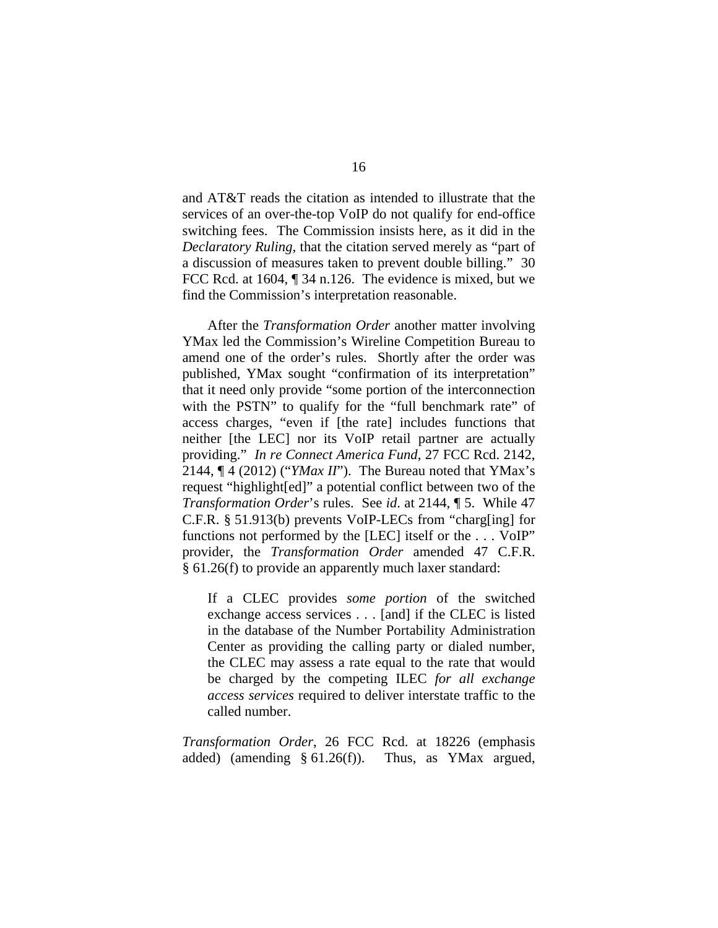and AT&T reads the citation as intended to illustrate that the services of an over-the-top VoIP do not qualify for end-office switching fees. The Commission insists here, as it did in the *Declaratory Ruling*, that the citation served merely as "part of a discussion of measures taken to prevent double billing." 30 FCC Rcd. at 1604,  $\P$  34 n.126. The evidence is mixed, but we find the Commission's interpretation reasonable.

After the *Transformation Order* another matter involving YMax led the Commission's Wireline Competition Bureau to amend one of the order's rules. Shortly after the order was published, YMax sought "confirmation of its interpretation" that it need only provide "some portion of the interconnection with the PSTN" to qualify for the "full benchmark rate" of access charges, "even if [the rate] includes functions that neither [the LEC] nor its VoIP retail partner are actually providing." *In re Connect America Fund*, 27 FCC Rcd. 2142, 2144, ¶ 4 (2012) ("*YMax II*"). The Bureau noted that YMax's request "highlight[ed]" a potential conflict between two of the *Transformation Order*'s rules. See *id*. at 2144, ¶ 5. While 47 C.F.R. § 51.913(b) prevents VoIP-LECs from "charg[ing] for functions not performed by the [LEC] itself or the . . . VoIP" provider, the *Transformation Order* amended 47 C.F.R. § 61.26(f) to provide an apparently much laxer standard:

If a CLEC provides *some portion* of the switched exchange access services . . . [and] if the CLEC is listed in the database of the Number Portability Administration Center as providing the calling party or dialed number, the CLEC may assess a rate equal to the rate that would be charged by the competing ILEC *for all exchange access services* required to deliver interstate traffic to the called number.

*Transformation Order*, 26 FCC Rcd. at 18226 (emphasis added) (amending § 61.26(f)). Thus, as YMax argued,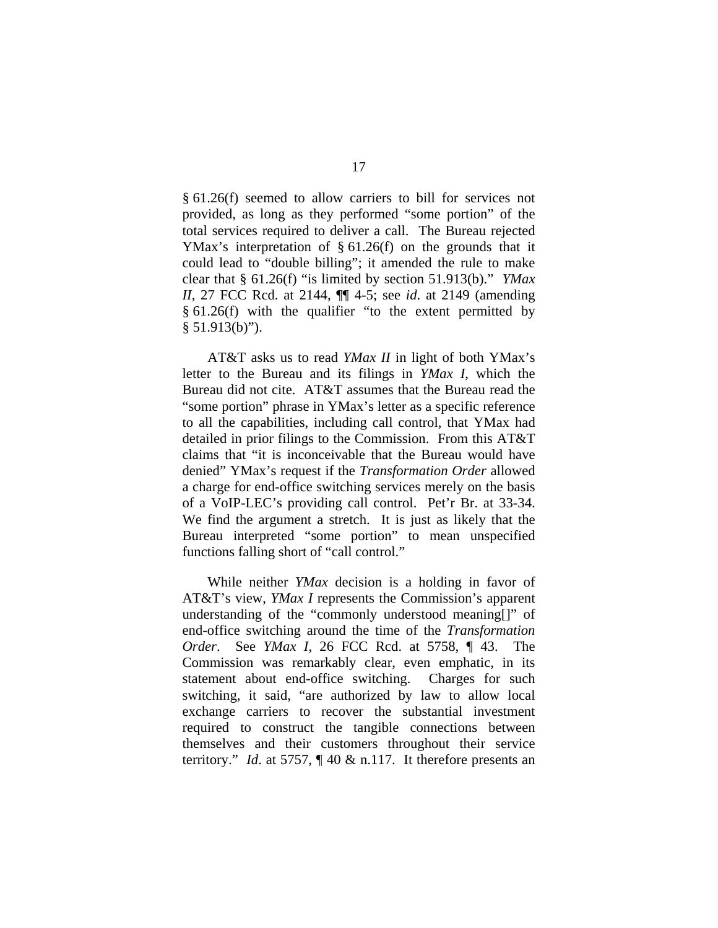§ 61.26(f) seemed to allow carriers to bill for services not provided, as long as they performed "some portion" of the total services required to deliver a call. The Bureau rejected YMax's interpretation of § 61.26(f) on the grounds that it could lead to "double billing"; it amended the rule to make clear that § 61.26(f) "is limited by section 51.913(b)." *YMax II*, 27 FCC Rcd. at 2144, ¶¶ 4-5; see *id*. at 2149 (amending § 61.26(f) with the qualifier "to the extent permitted by  $§ 51.913(b)$ ").

AT&T asks us to read *YMax II* in light of both YMax's letter to the Bureau and its filings in *YMax I*, which the Bureau did not cite. AT&T assumes that the Bureau read the "some portion" phrase in YMax's letter as a specific reference to all the capabilities, including call control, that YMax had detailed in prior filings to the Commission. From this AT&T claims that "it is inconceivable that the Bureau would have denied" YMax's request if the *Transformation Order* allowed a charge for end-office switching services merely on the basis of a VoIP-LEC's providing call control. Pet'r Br. at 33-34. We find the argument a stretch. It is just as likely that the Bureau interpreted "some portion" to mean unspecified functions falling short of "call control."

While neither *YMax* decision is a holding in favor of AT&T's view, *YMax I* represents the Commission's apparent understanding of the "commonly understood meaning[]" of end-office switching around the time of the *Transformation Order*. See *YMax I*, 26 FCC Rcd. at 5758, ¶ 43. The Commission was remarkably clear, even emphatic, in its statement about end-office switching. Charges for such switching, it said, "are authorized by law to allow local exchange carriers to recover the substantial investment required to construct the tangible connections between themselves and their customers throughout their service territory." *Id*. at 5757, ¶ 40 & n.117. It therefore presents an